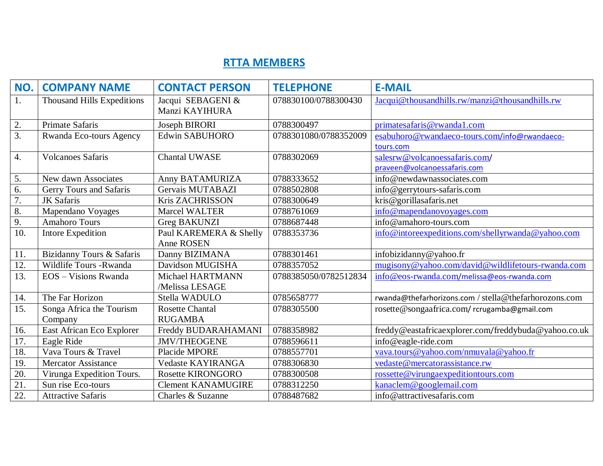## **RTTA MEMBERS**

| NO.              | <b>COMPANY NAME</b>               | <b>CONTACT PERSON</b>               | <b>TELEPHONE</b>      | <b>E-MAIL</b>                                         |
|------------------|-----------------------------------|-------------------------------------|-----------------------|-------------------------------------------------------|
| 1.               | <b>Thousand Hills Expeditions</b> | Jacqui SEBAGENI &<br>Manzi KAYIHURA | 078830100/0788300430  | Jacqui@thousandhills.rw/manzi@thousandhills.rw        |
| 2.               | <b>Primate Safaris</b>            | Joseph BIRORI                       | 0788300497            | primatesafaris@rwanda1.com                            |
| 3.               | Rwanda Eco-tours Agency           | <b>Edwin SABUHORO</b>               | 0788301080/0788352009 | esabuhoro@rwandaeco-tours.com/info@rwandaeco-         |
|                  |                                   |                                     |                       | tours.com                                             |
| 4.               | <b>Volcanoes Safaris</b>          | <b>Chantal UWASE</b>                | 0788302069            | salesrw@volcanoessafaris.com/                         |
|                  |                                   |                                     |                       | praveen@volcanoessafaris.com                          |
| 5.               | New dawn Associates               | Anny BATAMURIZA                     | 0788333652            | info@newdawnassociates.com                            |
| 6.               | Gerry Tours and Safaris           | Gervais MUTABAZI                    | 0788502808            | info@gerrytours-safaris.com                           |
| 7.               | <b>JK</b> Safaris                 | Kris ZACHRISSON                     | 0788300649            | kris@gorillasafaris.net                               |
| $\overline{8}$ . | Mapendano Voyages                 | <b>Marcel WALTER</b>                | 0788761069            | info@mapendanovoyages.com                             |
| 9.               | <b>Amahoro Tours</b>              | <b>Greg BAKUNZI</b>                 | 0788687448            | info@amahoro-tours.com                                |
| 10.              | <b>Intore Expedition</b>          | Paul KAREMERA & Shelly              | 0788353736            | info@intoreexpeditions.com/shellyrwanda@yahoo.com     |
|                  |                                   | <b>Anne ROSEN</b>                   |                       |                                                       |
| 11.              | Bizidanny Tours & Safaris         | Danny BIZIMANA                      | 0788301461            | infobizidanny@yahoo.fr                                |
| 12.              | Wildlife Tours - Rwanda           | Davidson MUGISHA                    | 0788357052            | mugisony@yahoo.com/david@wildlifetours-rwanda.com     |
| 13.              | EOS - Visions Rwanda              | Michael HARTMANN                    | 0788385050/0782512834 | info@eos-rwanda.com/melissa@eos-rwanda.com            |
|                  |                                   | /Melissa LESAGE                     |                       |                                                       |
| 14.              | The Far Horizon                   | Stella WADULO                       | 0785658777            | rwanda@thefarhorizons.com / stella@thefarhorozons.com |
| 15.              | Songa Africa the Tourism          | <b>Rosette Chantal</b>              | 0788305500            | rosette@songaafrica.com/rcrugamba@gmail.com           |
|                  | Company                           | <b>RUGAMBA</b>                      |                       |                                                       |
| 16.              | East African Eco Explorer         | Freddy BUDARAHAMANI                 | 0788358982            | freddy@eastafricaexplorer.com/freddybuda@yahoo.co.uk  |
| 17.              | Eagle Ride                        | <b>JMV/THEOGENE</b>                 | 0788596611            | info@eagle-ride.com                                   |
| 18.              | Vava Tours & Travel               | Placide MPORE                       | 0788557701            | vava.tours@yahoo.com/nmuvala@yahoo.fr                 |
| 19.              | <b>Mercator Assistance</b>        | Vedaste KAYIRANGA                   | 0788306830            | vedaste@mercatorassistance.rw                         |
| 20.              | Virunga Expedition Tours.         | Rosette KIRONGORO                   | 0788300508            | rossette@virungaexpeditiontours.com                   |
| 21.              | Sun rise Eco-tours                | <b>Clement KANAMUGIRE</b>           | 0788312250            | kanaclem@googlemail.com                               |
| 22.              | <b>Attractive Safaris</b>         | Charles & Suzanne                   | 0788487682            | info@attractivesafaris.com                            |